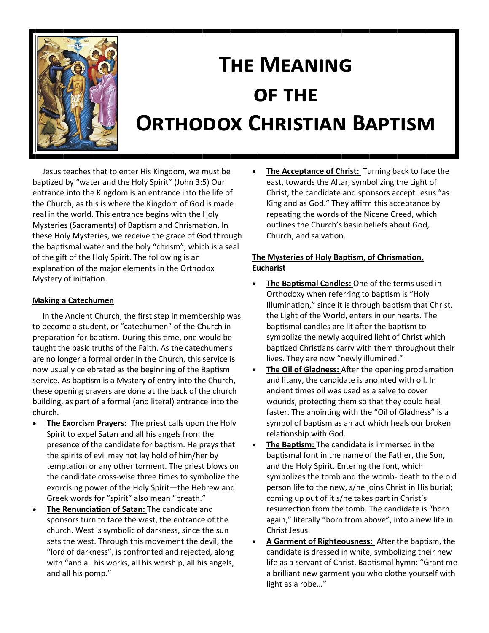

# **The Meaning of the Orthodox Christian Baptism**

 Jesus teaches that to enter His Kingdom, we must be baptized by "water and the Holy Spirit" (John 3:5) Our entrance into the Kingdom is an entrance into the life of the Church, as this is where the Kingdom of God is made real in the world. This entrance begins with the Holy Mysteries (Sacraments) of Baptism and Chrismation. In these Holy Mysteries, we receive the grace of God through the baptismal water and the holy "chrism", which is a seal of the gift of the Holy Spirit. The following is an explanation of the major elements in the Orthodox Mystery of initiation.

## **Making a Catechumen**

 In the Ancient Church, the first step in membership was to become a student, or "catechumen" of the Church in preparation for baptism. During this time, one would be taught the basic truths of the Faith. As the catechumens are no longer a formal order in the Church, this service is now usually celebrated as the beginning of the Baptism service. As baptism is a Mystery of entry into the Church, these opening prayers are done at the back of the church building, as part of a formal (and literal) entrance into the church.

- **The Exorcism Prayers:** The priest calls upon the Holy Spirit to expel Satan and all his angels from the presence of the candidate for baptism. He prays that the spirits of evil may not lay hold of him/her by temptation or any other torment. The priest blows on the candidate cross-wise three times to symbolize the exorcising power of the Holy Spirit—the Hebrew and Greek words for "spirit" also mean "breath."
- **The Renunciation of Satan:** The candidate and sponsors turn to face the west, the entrance of the church. West is symbolic of darkness, since the sun sets the west. Through this movement the devil, the "lord of darkness", is confronted and rejected, along with "and all his works, all his worship, all his angels, and all his pomp."

 **The Acceptance of Christ:** Turning back to face the east, towards the Altar, symbolizing the Light of Christ, the candidate and sponsors accept Jesus "as King and as God." They affirm this acceptance by repeating the words of the Nicene Creed, which outlines the Church's basic beliefs about God, Church, and salvation.

#### **The Mysteries of Holy Baptism, of Chrismation, Eucharist**

- **The Baptismal Candles:** One of the terms used in Orthodoxy when referring to baptism is "Holy Illumination," since it is through baptism that Christ, the Light of the World, enters in our hearts. The baptismal candles are lit after the baptism to symbolize the newly acquired light of Christ which baptized Christians carry with them throughout their lives. They are now "newly illumined."
- **The Oil of Gladness:** After the opening proclamation and litany, the candidate is anointed with oil. In ancient times oil was used as a salve to cover wounds, protecting them so that they could heal faster. The anointing with the "Oil of Gladness" is a symbol of baptism as an act which heals our broken relationship with God.
- **The Baptism:** The candidate is immersed in the baptismal font in the name of the Father, the Son, and the Holy Spirit. Entering the font, which symbolizes the tomb and the womb- death to the old person life to the new, s/he joins Christ in His burial; coming up out of it s/he takes part in Christ's resurrection from the tomb. The candidate is "born again," literally "born from above", into a new life in Christ Jesus.
- **A Garment of Righteousness:** After the baptism, the candidate is dressed in white, symbolizing their new life as a servant of Christ. Baptismal hymn: "Grant me a brilliant new garment you who clothe yourself with light as a robe…"